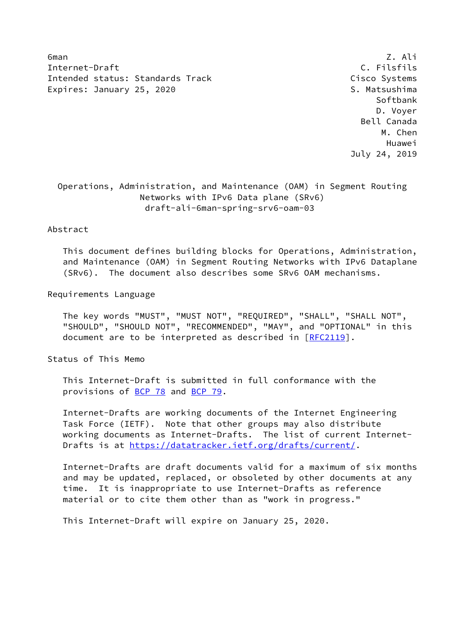6man Z.Ali Internet-Draft C. Filsfils Intended status: Standards Track Cisco Systems Expires: January 25, 2020 S. Matsushima

 Softbank D. Voyer Bell Canada M. Chen Huawei July 24, 2019

# Operations, Administration, and Maintenance (OAM) in Segment Routing Networks with IPv6 Data plane (SRv6) draft-ali-6man-spring-srv6-oam-03

## Abstract

 This document defines building blocks for Operations, Administration, and Maintenance (OAM) in Segment Routing Networks with IPv6 Dataplane (SRv6). The document also describes some SRv6 OAM mechanisms.

### Requirements Language

 The key words "MUST", "MUST NOT", "REQUIRED", "SHALL", "SHALL NOT", "SHOULD", "SHOULD NOT", "RECOMMENDED", "MAY", and "OPTIONAL" in this document are to be interpreted as described in [\[RFC2119](https://datatracker.ietf.org/doc/pdf/rfc2119)].

Status of This Memo

 This Internet-Draft is submitted in full conformance with the provisions of [BCP 78](https://datatracker.ietf.org/doc/pdf/bcp78) and [BCP 79](https://datatracker.ietf.org/doc/pdf/bcp79).

 Internet-Drafts are working documents of the Internet Engineering Task Force (IETF). Note that other groups may also distribute working documents as Internet-Drafts. The list of current Internet- Drafts is at<https://datatracker.ietf.org/drafts/current/>.

 Internet-Drafts are draft documents valid for a maximum of six months and may be updated, replaced, or obsoleted by other documents at any time. It is inappropriate to use Internet-Drafts as reference material or to cite them other than as "work in progress."

This Internet-Draft will expire on January 25, 2020.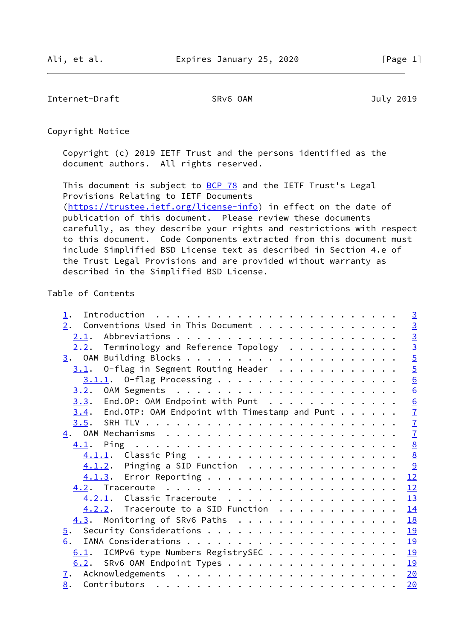Internet-Draft SRv6 OAM July 2019

Copyright Notice

 Copyright (c) 2019 IETF Trust and the persons identified as the document authors. All rights reserved.

This document is subject to **[BCP 78](https://datatracker.ietf.org/doc/pdf/bcp78)** and the IETF Trust's Legal Provisions Relating to IETF Documents [\(https://trustee.ietf.org/license-info](https://trustee.ietf.org/license-info)) in effect on the date of publication of this document. Please review these documents carefully, as they describe your rights and restrictions with respect to this document. Code Components extracted from this document must include Simplified BSD License text as described in Section 4.e of the Trust Legal Provisions and are provided without warranty as described in the Simplified BSD License.

# Table of Contents

|                                                       | $\overline{3}$          |
|-------------------------------------------------------|-------------------------|
| $\underline{2}.$ Conventions Used in This Document    |                         |
|                                                       | $\frac{3}{2}$           |
| $2.2$ . Terminology and Reference Topology            | $\overline{3}$          |
|                                                       | $\overline{5}$          |
| $3.1$ . O-flag in Segment Routing Header              | $\overline{5}$          |
|                                                       | $\underline{6}$         |
|                                                       | $\underline{6}$         |
| $3.3$ . End.OP: OAM Endpoint with Punt                |                         |
| $3.4$ . End.OTP: OAM Endpoint with Timestamp and Punt | $\frac{6}{7}$           |
|                                                       | $\overline{1}$          |
|                                                       | $\mathbf{Z}$            |
|                                                       | $rac{8}{\underline{8}}$ |
|                                                       |                         |
| $4.1.2$ . Pinging a SID Function                      | 9                       |
|                                                       | 12                      |
|                                                       | 12                      |
| 4.2.1. Classic Traceroute                             | 13                      |
| $4.2.2$ . Traceroute to a SID Function                | 14                      |
| $4.3$ . Monitoring of SRv6 Paths                      | 18                      |
|                                                       | 19                      |
| 6.                                                    | 19                      |
| 6.1. ICMPv6 type Numbers RegistrySEC 19               |                         |
| 6.2. SRv6 OAM Endpoint Types 19                       |                         |
|                                                       |                         |
|                                                       | 20                      |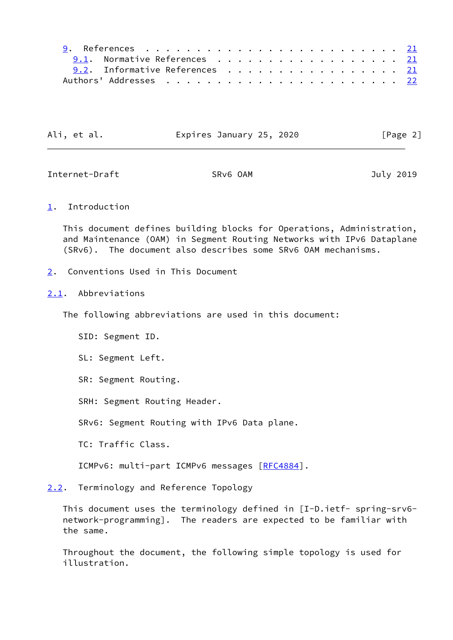| 9.1. Normative References 21   |  |  |  |  |  |  |  |  |  |
|--------------------------------|--|--|--|--|--|--|--|--|--|
| 9.2. Informative References 21 |  |  |  |  |  |  |  |  |  |
|                                |  |  |  |  |  |  |  |  |  |

| Ali, et al.<br>Expires January 25, 2020 | [Page 2] |
|-----------------------------------------|----------|
|-----------------------------------------|----------|

<span id="page-2-1"></span>Internet-Draft SRv6 OAM July 2019

# <span id="page-2-0"></span>[1](#page-2-0). Introduction

 This document defines building blocks for Operations, Administration, and Maintenance (OAM) in Segment Routing Networks with IPv6 Dataplane (SRv6). The document also describes some SRv6 OAM mechanisms.

<span id="page-2-2"></span>[2](#page-2-2). Conventions Used in This Document

# <span id="page-2-3"></span>[2.1](#page-2-3). Abbreviations

The following abbreviations are used in this document:

SID: Segment ID.

SL: Segment Left.

SR: Segment Routing.

SRH: Segment Routing Header.

SRv6: Segment Routing with IPv6 Data plane.

TC: Traffic Class.

ICMPv6: multi-part ICMPv6 messages [[RFC4884](https://datatracker.ietf.org/doc/pdf/rfc4884)].

<span id="page-2-4"></span>[2.2](#page-2-4). Terminology and Reference Topology

 This document uses the terminology defined in [I-D.ietf- spring-srv6 network-programming]. The readers are expected to be familiar with the same.

 Throughout the document, the following simple topology is used for illustration.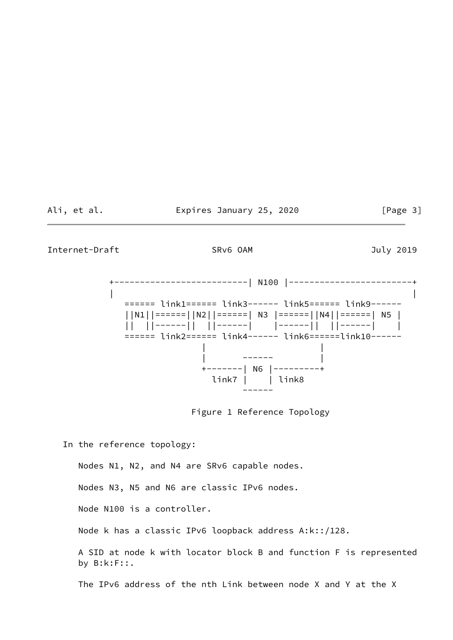Ali, et al. Expires January 25, 2020 [Page 3]

Internet-Draft SRv6 OAM SRV6 OAM July 2019

 +--------------------------| N100 |------------------------+ | | ====== link1====== link3------ link5====== link9------ ||N1||======||N2||======| N3 |======||N4||======| N5 | || ||------|| ||------| |------|| ||------| | ====== link2====== link4------ link6======link10------ | | | ------ | +-------| N6 |---------+ link7 | | link8 ------

Figure 1 Reference Topology

In the reference topology:

Nodes N1, N2, and N4 are SRv6 capable nodes.

Nodes N3, N5 and N6 are classic IPv6 nodes.

Node N100 is a controller.

Node k has a classic IPv6 loopback address A:k::/128.

 A SID at node k with locator block B and function F is represented by B:k:F::.

The IPv6 address of the nth Link between node X and Y at the X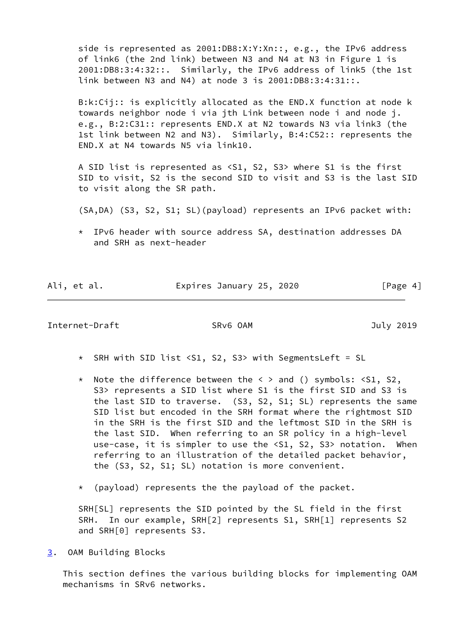side is represented as 2001:DB8:X:Y:Xn::, e.g., the IPv6 address of link6 (the 2nd link) between N3 and N4 at N3 in Figure 1 is 2001:DB8:3:4:32::. Similarly, the IPv6 address of link5 (the 1st link between N3 and N4) at node 3 is 2001:DB8:3:4:31::.

 B:k:Cij:: is explicitly allocated as the END.X function at node k towards neighbor node i via jth Link between node i and node j. e.g., B:2:C31:: represents END.X at N2 towards N3 via link3 (the 1st link between N2 and N3). Similarly, B:4:C52:: represents the END.X at N4 towards N5 via link10.

 A SID list is represented as <S1, S2, S3> where S1 is the first SID to visit, S2 is the second SID to visit and S3 is the last SID to visit along the SR path.

(SA,DA) (S3, S2, S1; SL)(payload) represents an IPv6 packet with:

 \* IPv6 header with source address SA, destination addresses DA and SRH as next-header

Ali, et al. Expires January 25, 2020 [Page 4]

## <span id="page-4-1"></span>Internet-Draft SRv6 OAM July 2019

- \* SRH with SID list <S1, S2, S3> with SegmentsLeft = SL
- \* Note the difference between the < > and () symbols: <S1, S2, S3> represents a SID list where S1 is the first SID and S3 is the last SID to traverse. (S3, S2, S1; SL) represents the same SID list but encoded in the SRH format where the rightmost SID in the SRH is the first SID and the leftmost SID in the SRH is the last SID. When referring to an SR policy in a high-level use-case, it is simpler to use the <S1, S2, S3> notation. When referring to an illustration of the detailed packet behavior, the (S3, S2, S1; SL) notation is more convenient.
- \* (payload) represents the the payload of the packet.

 SRH[SL] represents the SID pointed by the SL field in the first SRH. In our example, SRH[2] represents S1, SRH[1] represents S2 and SRH[0] represents S3.

<span id="page-4-0"></span>[3](#page-4-0). OAM Building Blocks

 This section defines the various building blocks for implementing OAM mechanisms in SRv6 networks.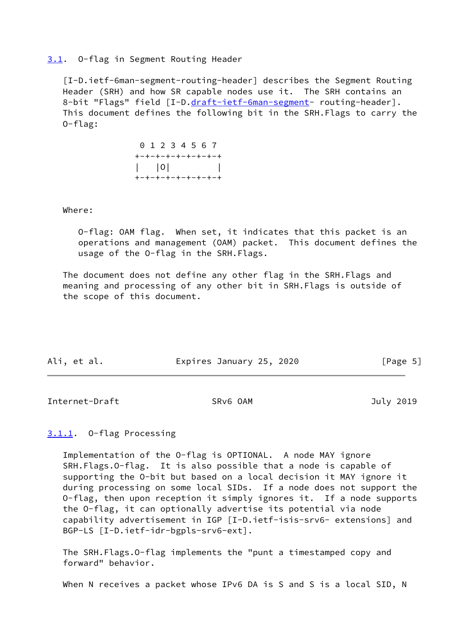## <span id="page-5-0"></span>[3.1](#page-5-0). O-flag in Segment Routing Header

<span id="page-5-3"></span> [I-D.ietf-6man-segment-routing-header] describes the Segment Routing Header (SRH) and how SR capable nodes use it. The SRH contains an 8-bit "Flags" field [I-D[.draft-ietf-6man-segment](https://datatracker.ietf.org/doc/pdf/draft-ietf-6man-segment)- routing-header]. This document defines the following bit in the SRH.Flags to carry the O-flag:

> 0 1 2 3 4 5 6 7 +-+-+-+-+-+-+-+-+  $\vert$   $\vert$   $\vert$   $\vert$   $\vert$ +-+-+-+-+-+-+-+-+

#### Where:

 O-flag: OAM flag. When set, it indicates that this packet is an operations and management (OAM) packet. This document defines the usage of the O-flag in the SRH.Flags.

 The document does not define any other flag in the SRH.Flags and meaning and processing of any other bit in SRH.Flags is outside of the scope of this document.

| Ali, et al. | Expires January 25, 2020 | [Page 5] |
|-------------|--------------------------|----------|

<span id="page-5-2"></span>Internet-Draft SRv6 OAM SRV6 OAM July 2019

# <span id="page-5-1"></span>[3.1.1](#page-5-1). O-flag Processing

 Implementation of the O-flag is OPTIONAL. A node MAY ignore SRH.Flags.O-flag. It is also possible that a node is capable of supporting the O-bit but based on a local decision it MAY ignore it during processing on some local SIDs. If a node does not support the O-flag, then upon reception it simply ignores it. If a node supports the O-flag, it can optionally advertise its potential via node capability advertisement in IGP [I-D.ietf-isis-srv6- extensions] and BGP-LS [I-D.ietf-idr-bgpls-srv6-ext].

 The SRH.Flags.O-flag implements the "punt a timestamped copy and forward" behavior.

When N receives a packet whose IPv6 DA is S and S is a local SID, N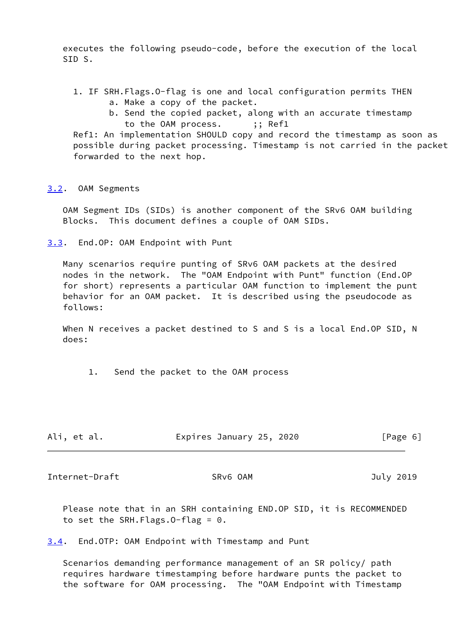executes the following pseudo-code, before the execution of the local SID S.

- 1. IF SRH.Flags.O-flag is one and local configuration permits THEN a. Make a copy of the packet.
	- b. Send the copied packet, along with an accurate timestamp to the OAM process. ;; Ref1

 Ref1: An implementation SHOULD copy and record the timestamp as soon as possible during packet processing. Timestamp is not carried in the packet forwarded to the next hop.

<span id="page-6-0"></span>[3.2](#page-6-0). OAM Segments

 OAM Segment IDs (SIDs) is another component of the SRv6 OAM building Blocks. This document defines a couple of OAM SIDs.

<span id="page-6-1"></span>[3.3](#page-6-1). End.OP: OAM Endpoint with Punt

 Many scenarios require punting of SRv6 OAM packets at the desired nodes in the network. The "OAM Endpoint with Punt" function (End.OP for short) represents a particular OAM function to implement the punt behavior for an OAM packet. It is described using the pseudocode as follows:

When N receives a packet destined to S and S is a local End. OP SID, N does:

1. Send the packet to the OAM process

| Ali, et al. | Expires January 25, 2020 |  | [Page 6] |
|-------------|--------------------------|--|----------|
|-------------|--------------------------|--|----------|

<span id="page-6-3"></span>Internet-Draft SRv6 OAM 3019

 Please note that in an SRH containing END.OP SID, it is RECOMMENDED to set the SRH.Flags.O-flag = 0.

<span id="page-6-2"></span>[3.4](#page-6-2). End.OTP: OAM Endpoint with Timestamp and Punt

 Scenarios demanding performance management of an SR policy/ path requires hardware timestamping before hardware punts the packet to the software for OAM processing. The "OAM Endpoint with Timestamp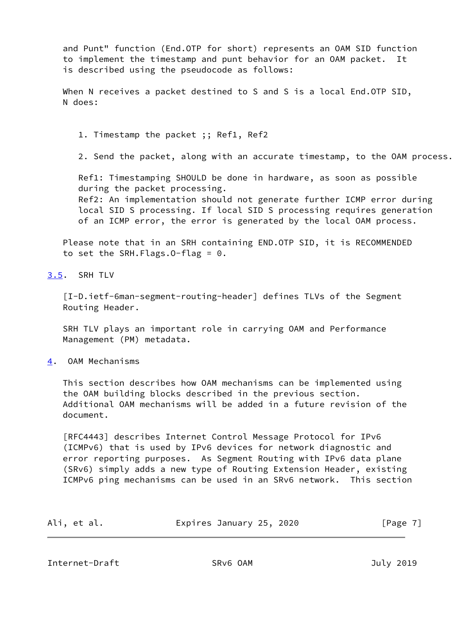and Punt" function (End.OTP for short) represents an OAM SID function to implement the timestamp and punt behavior for an OAM packet. It is described using the pseudocode as follows:

 When N receives a packet destined to S and S is a local End.OTP SID, N does:

1. Timestamp the packet ;; Ref1, Ref2

2. Send the packet, along with an accurate timestamp, to the OAM process.

 Ref1: Timestamping SHOULD be done in hardware, as soon as possible during the packet processing. Ref2: An implementation should not generate further ICMP error during local SID S processing. If local SID S processing requires generation

of an ICMP error, the error is generated by the local OAM process.

 Please note that in an SRH containing END.OTP SID, it is RECOMMENDED to set the SRH.Flags.O-flag = 0.

<span id="page-7-0"></span>[3.5](#page-7-0). SRH TLV

 [I-D.ietf-6man-segment-routing-header] defines TLVs of the Segment Routing Header.

 SRH TLV plays an important role in carrying OAM and Performance Management (PM) metadata.

<span id="page-7-1"></span>[4](#page-7-1). OAM Mechanisms

 This section describes how OAM mechanisms can be implemented using the OAM building blocks described in the previous section. Additional OAM mechanisms will be added in a future revision of the document.

 [RFC4443] describes Internet Control Message Protocol for IPv6 (ICMPv6) that is used by IPv6 devices for network diagnostic and error reporting purposes. As Segment Routing with IPv6 data plane (SRv6) simply adds a new type of Routing Extension Header, existing ICMPv6 ping mechanisms can be used in an SRv6 network. This section

| Ali, et al. | Expires January 25, 2020 |  | [Page 7] |
|-------------|--------------------------|--|----------|
|-------------|--------------------------|--|----------|

<span id="page-7-2"></span>Internet-Draft SRv6 OAM 3019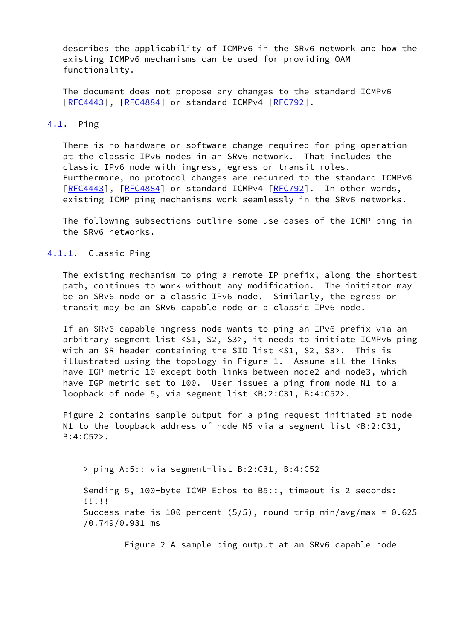describes the applicability of ICMPv6 in the SRv6 network and how the existing ICMPv6 mechanisms can be used for providing OAM functionality.

 The document does not propose any changes to the standard ICMPv6 [\[RFC4443](https://datatracker.ietf.org/doc/pdf/rfc4443)], [[RFC4884\]](https://datatracker.ietf.org/doc/pdf/rfc4884) or standard ICMPv4 [\[RFC792](https://datatracker.ietf.org/doc/pdf/rfc792)].

## <span id="page-8-0"></span>[4.1](#page-8-0). Ping

 There is no hardware or software change required for ping operation at the classic IPv6 nodes in an SRv6 network. That includes the classic IPv6 node with ingress, egress or transit roles. Furthermore, no protocol changes are required to the standard ICMPv6 [\[RFC4443](https://datatracker.ietf.org/doc/pdf/rfc4443)], [[RFC4884\]](https://datatracker.ietf.org/doc/pdf/rfc4884) or standard ICMPv4 [\[RFC792](https://datatracker.ietf.org/doc/pdf/rfc792)]. In other words, existing ICMP ping mechanisms work seamlessly in the SRv6 networks.

 The following subsections outline some use cases of the ICMP ping in the SRv6 networks.

### <span id="page-8-1"></span>[4.1.1](#page-8-1). Classic Ping

 The existing mechanism to ping a remote IP prefix, along the shortest path, continues to work without any modification. The initiator may be an SRv6 node or a classic IPv6 node. Similarly, the egress or transit may be an SRv6 capable node or a classic IPv6 node.

 If an SRv6 capable ingress node wants to ping an IPv6 prefix via an arbitrary segment list <S1, S2, S3>, it needs to initiate ICMPv6 ping with an SR header containing the SID list <S1, S2, S3>. This is illustrated using the topology in Figure 1. Assume all the links have IGP metric 10 except both links between node2 and node3, which have IGP metric set to 100. User issues a ping from node N1 to a loopback of node 5, via segment list <B:2:C31, B:4:C52>.

 Figure 2 contains sample output for a ping request initiated at node N1 to the loopback address of node N5 via a segment list <B:2:C31, B:4:C52>.

> ping A:5:: via segment-list B:2:C31, B:4:C52

 Sending 5, 100-byte ICMP Echos to B5::, timeout is 2 seconds: !!!!! Success rate is 100 percent (5/5), round-trip min/avg/max = 0.625 /0.749/0.931 ms

Figure 2 A sample ping output at an SRv6 capable node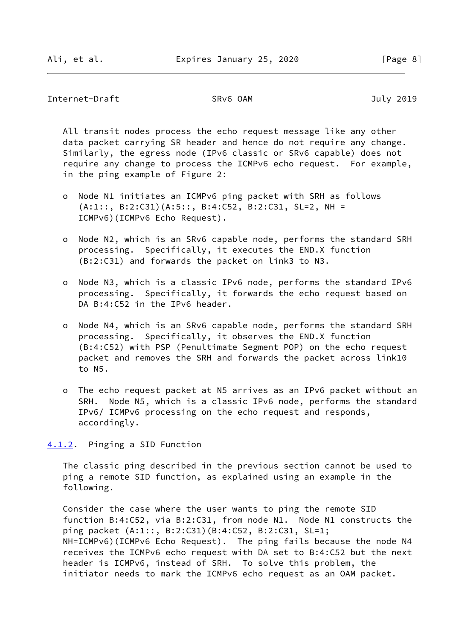<span id="page-9-1"></span>Internet-Draft SRv6 OAM July 2019

 All transit nodes process the echo request message like any other data packet carrying SR header and hence do not require any change. Similarly, the egress node (IPv6 classic or SRv6 capable) does not require any change to process the ICMPv6 echo request. For example, in the ping example of Figure 2:

- o Node N1 initiates an ICMPv6 ping packet with SRH as follows (A:1::, B:2:C31)(A:5::, B:4:C52, B:2:C31, SL=2, NH = ICMPv6)(ICMPv6 Echo Request).
- o Node N2, which is an SRv6 capable node, performs the standard SRH processing. Specifically, it executes the END.X function (B:2:C31) and forwards the packet on link3 to N3.
- o Node N3, which is a classic IPv6 node, performs the standard IPv6 processing. Specifically, it forwards the echo request based on DA B:4:C52 in the IPv6 header.
- o Node N4, which is an SRv6 capable node, performs the standard SRH processing. Specifically, it observes the END.X function (B:4:C52) with PSP (Penultimate Segment POP) on the echo request packet and removes the SRH and forwards the packet across link10 to N5.
- o The echo request packet at N5 arrives as an IPv6 packet without an SRH. Node N5, which is a classic IPv6 node, performs the standard IPv6/ ICMPv6 processing on the echo request and responds, accordingly.

<span id="page-9-0"></span>[4.1.2](#page-9-0). Pinging a SID Function

 The classic ping described in the previous section cannot be used to ping a remote SID function, as explained using an example in the following.

 Consider the case where the user wants to ping the remote SID function B:4:C52, via B:2:C31, from node N1. Node N1 constructs the ping packet (A:1::, B:2:C31)(B:4:C52, B:2:C31, SL=1; NH=ICMPv6)(ICMPv6 Echo Request). The ping fails because the node N4 receives the ICMPv6 echo request with DA set to B:4:C52 but the next header is ICMPv6, instead of SRH. To solve this problem, the initiator needs to mark the ICMPv6 echo request as an OAM packet.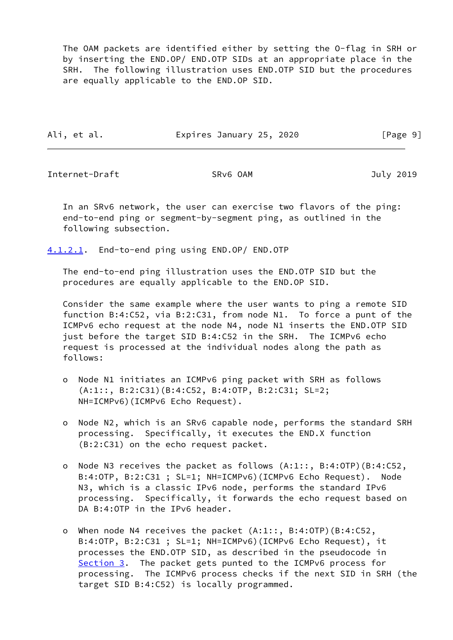The OAM packets are identified either by setting the O-flag in SRH or by inserting the END.OP/ END.OTP SIDs at an appropriate place in the SRH. The following illustration uses END.OTP SID but the procedures are equally applicable to the END.OP SID.

Ali, et al. **Expires January 25, 2020** [Page 9]

Internet-Draft SRv6 OAM July 2019

 In an SRv6 network, the user can exercise two flavors of the ping: end-to-end ping or segment-by-segment ping, as outlined in the following subsection.

<span id="page-10-0"></span>[4.1.2.1](#page-10-0). End-to-end ping using END.OP/ END.OTP

 The end-to-end ping illustration uses the END.OTP SID but the procedures are equally applicable to the END.OP SID.

 Consider the same example where the user wants to ping a remote SID function B:4:C52, via B:2:C31, from node N1. To force a punt of the ICMPv6 echo request at the node N4, node N1 inserts the END.OTP SID just before the target SID B:4:C52 in the SRH. The ICMPv6 echo request is processed at the individual nodes along the path as follows:

- o Node N1 initiates an ICMPv6 ping packet with SRH as follows (A:1::, B:2:C31)(B:4:C52, B:4:OTP, B:2:C31; SL=2; NH=ICMPv6)(ICMPv6 Echo Request).
- o Node N2, which is an SRv6 capable node, performs the standard SRH processing. Specifically, it executes the END.X function (B:2:C31) on the echo request packet.
- o Node N3 receives the packet as follows (A:1::, B:4:OTP)(B:4:C52, B:4:OTP, B:2:C31 ; SL=1; NH=ICMPv6)(ICMPv6 Echo Request). Node N3, which is a classic IPv6 node, performs the standard IPv6 processing. Specifically, it forwards the echo request based on DA B:4:OTP in the IPv6 header.
- o When node N4 receives the packet (A:1::, B:4:OTP)(B:4:C52, B:4:OTP, B:2:C31 ; SL=1; NH=ICMPv6)(ICMPv6 Echo Request), it processes the END.OTP SID, as described in the pseudocode in [Section 3.](#page-4-0) The packet gets punted to the ICMPv6 process for processing. The ICMPv6 process checks if the next SID in SRH (the target SID B:4:C52) is locally programmed.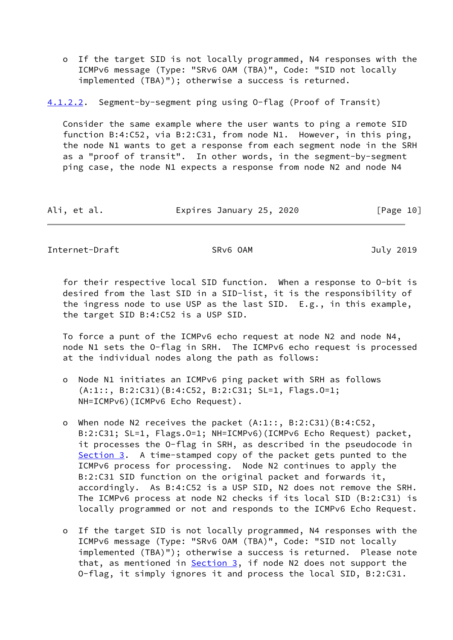o If the target SID is not locally programmed, N4 responses with the ICMPv6 message (Type: "SRv6 OAM (TBA)", Code: "SID not locally implemented (TBA)"); otherwise a success is returned.

<span id="page-11-0"></span>[4.1.2.2](#page-11-0). Segment-by-segment ping using O-flag (Proof of Transit)

 Consider the same example where the user wants to ping a remote SID function B:4:C52, via B:2:C31, from node N1. However, in this ping, the node N1 wants to get a response from each segment node in the SRH as a "proof of transit". In other words, in the segment-by-segment ping case, the node N1 expects a response from node N2 and node N4

Ali, et al. Expires January 25, 2020 [Page 10]

Internet-Draft SRv6 OAM July 2019

 for their respective local SID function. When a response to O-bit is desired from the last SID in a SID-list, it is the responsibility of the ingress node to use USP as the last SID. E.g., in this example, the target SID B:4:C52 is a USP SID.

 To force a punt of the ICMPv6 echo request at node N2 and node N4, node N1 sets the O-flag in SRH. The ICMPv6 echo request is processed at the individual nodes along the path as follows:

- o Node N1 initiates an ICMPv6 ping packet with SRH as follows (A:1::, B:2:C31)(B:4:C52, B:2:C31; SL=1, Flags.O=1; NH=ICMPv6)(ICMPv6 Echo Request).
- o When node N2 receives the packet (A:1::, B:2:C31)(B:4:C52, B:2:C31; SL=1, Flags.O=1; NH=ICMPv6)(ICMPv6 Echo Request) packet, it processes the O-flag in SRH, as described in the pseudocode in [Section 3.](#page-4-0) A time-stamped copy of the packet gets punted to the ICMPv6 process for processing. Node N2 continues to apply the B:2:C31 SID function on the original packet and forwards it, accordingly. As B:4:C52 is a USP SID, N2 does not remove the SRH. The ICMPv6 process at node N2 checks if its local SID (B:2:C31) is locally programmed or not and responds to the ICMPv6 Echo Request.
- o If the target SID is not locally programmed, N4 responses with the ICMPv6 message (Type: "SRv6 OAM (TBA)", Code: "SID not locally implemented (TBA)"); otherwise a success is returned. Please note that, as mentioned in  $Section 3$ , if node N2 does not support the O-flag, it simply ignores it and process the local SID, B:2:C31.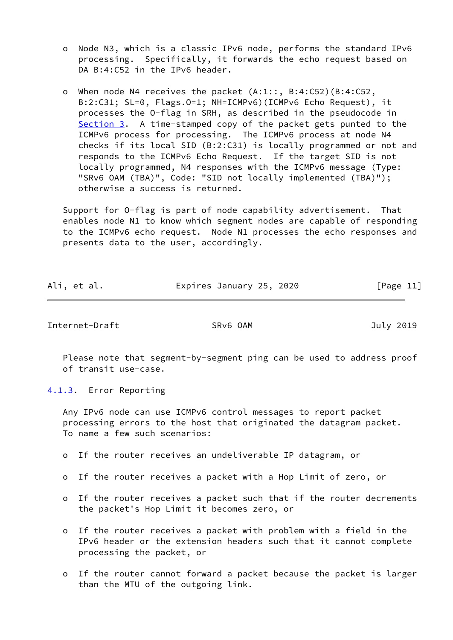- o Node N3, which is a classic IPv6 node, performs the standard IPv6 processing. Specifically, it forwards the echo request based on DA B:4:C52 in the IPv6 header.
- o When node N4 receives the packet (A:1::, B:4:C52)(B:4:C52, B:2:C31; SL=0, Flags.O=1; NH=ICMPv6)(ICMPv6 Echo Request), it processes the O-flag in SRH, as described in the pseudocode in [Section 3.](#page-4-0) A time-stamped copy of the packet gets punted to the ICMPv6 process for processing. The ICMPv6 process at node N4 checks if its local SID (B:2:C31) is locally programmed or not and responds to the ICMPv6 Echo Request. If the target SID is not locally programmed, N4 responses with the ICMPv6 message (Type: "SRv6 OAM (TBA)", Code: "SID not locally implemented (TBA)"); otherwise a success is returned.

 Support for O-flag is part of node capability advertisement. That enables node N1 to know which segment nodes are capable of responding to the ICMPv6 echo request. Node N1 processes the echo responses and presents data to the user, accordingly.

| Ali, et al. | Expires January 25, 2020 | [Page 11] |
|-------------|--------------------------|-----------|
|             |                          |           |

<span id="page-12-1"></span>Internet-Draft SRv6 OAM July 2019

 Please note that segment-by-segment ping can be used to address proof of transit use-case.

<span id="page-12-0"></span>[4.1.3](#page-12-0). Error Reporting

 Any IPv6 node can use ICMPv6 control messages to report packet processing errors to the host that originated the datagram packet. To name a few such scenarios:

- o If the router receives an undeliverable IP datagram, or
- o If the router receives a packet with a Hop Limit of zero, or
- o If the router receives a packet such that if the router decrements the packet's Hop Limit it becomes zero, or
- o If the router receives a packet with problem with a field in the IPv6 header or the extension headers such that it cannot complete processing the packet, or
- o If the router cannot forward a packet because the packet is larger than the MTU of the outgoing link.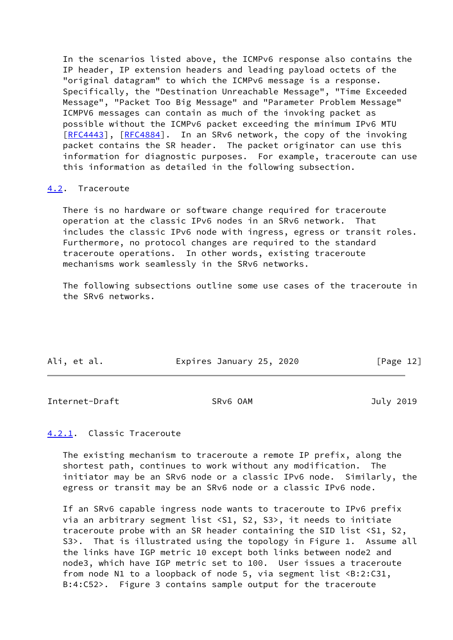In the scenarios listed above, the ICMPv6 response also contains the IP header, IP extension headers and leading payload octets of the "original datagram" to which the ICMPv6 message is a response. Specifically, the "Destination Unreachable Message", "Time Exceeded Message", "Packet Too Big Message" and "Parameter Problem Message" ICMPV6 messages can contain as much of the invoking packet as possible without the ICMPv6 packet exceeding the minimum IPv6 MTU [\[RFC4443](https://datatracker.ietf.org/doc/pdf/rfc4443)], [[RFC4884\]](https://datatracker.ietf.org/doc/pdf/rfc4884). In an SRv6 network, the copy of the invoking packet contains the SR header. The packet originator can use this information for diagnostic purposes. For example, traceroute can use this information as detailed in the following subsection.

# <span id="page-13-0"></span>[4.2](#page-13-0). Traceroute

 There is no hardware or software change required for traceroute operation at the classic IPv6 nodes in an SRv6 network. That includes the classic IPv6 node with ingress, egress or transit roles. Furthermore, no protocol changes are required to the standard traceroute operations. In other words, existing traceroute mechanisms work seamlessly in the SRv6 networks.

 The following subsections outline some use cases of the traceroute in the SRv6 networks.

| Ali, et al. | Expires January 25, 2020 | [Page 12] |
|-------------|--------------------------|-----------|

<span id="page-13-2"></span>Internet-Draft SRv6 OAM SRV6 OAM July 2019

# <span id="page-13-1"></span>[4.2.1](#page-13-1). Classic Traceroute

 The existing mechanism to traceroute a remote IP prefix, along the shortest path, continues to work without any modification. The initiator may be an SRv6 node or a classic IPv6 node. Similarly, the egress or transit may be an SRv6 node or a classic IPv6 node.

 If an SRv6 capable ingress node wants to traceroute to IPv6 prefix via an arbitrary segment list <S1, S2, S3>, it needs to initiate traceroute probe with an SR header containing the SID list <S1, S2, S3>. That is illustrated using the topology in Figure 1. Assume all the links have IGP metric 10 except both links between node2 and node3, which have IGP metric set to 100. User issues a traceroute from node N1 to a loopback of node 5, via segment list <B:2:C31, B:4:C52>. Figure 3 contains sample output for the traceroute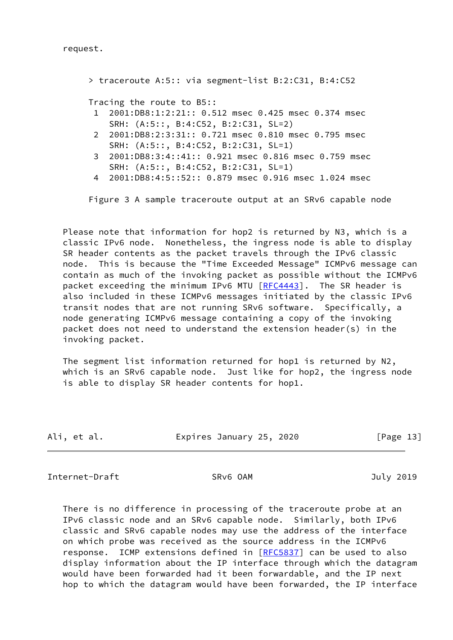request.

 > traceroute A:5:: via segment-list B:2:C31, B:4:C52 Tracing the route to B5:: 1 2001:DB8:1:2:21:: 0.512 msec 0.425 msec 0.374 msec SRH: (A:5::, B:4:C52, B:2:C31, SL=2) 2 2001:DB8:2:3:31:: 0.721 msec 0.810 msec 0.795 msec SRH: (A:5::, B:4:C52, B:2:C31, SL=1) 3 2001:DB8:3:4::41:: 0.921 msec 0.816 msec 0.759 msec SRH: (A:5::, B:4:C52, B:2:C31, SL=1) 4 2001:DB8:4:5::52:: 0.879 msec 0.916 msec 1.024 msec

Figure 3 A sample traceroute output at an SRv6 capable node

 Please note that information for hop2 is returned by N3, which is a classic IPv6 node. Nonetheless, the ingress node is able to display SR header contents as the packet travels through the IPv6 classic node. This is because the "Time Exceeded Message" ICMPv6 message can contain as much of the invoking packet as possible without the ICMPv6 packet exceeding the minimum IPv6 MTU [[RFC4443](https://datatracker.ietf.org/doc/pdf/rfc4443)]. The SR header is also included in these ICMPv6 messages initiated by the classic IPv6 transit nodes that are not running SRv6 software. Specifically, a node generating ICMPv6 message containing a copy of the invoking packet does not need to understand the extension header(s) in the invoking packet.

 The segment list information returned for hop1 is returned by N2, which is an SRv6 capable node. Just like for hop2, the ingress node is able to display SR header contents for hop1.

| Ali, et al. | Expires January 25, 2020 |  | [Page 13] |
|-------------|--------------------------|--|-----------|
|-------------|--------------------------|--|-----------|

<span id="page-14-0"></span>Internet-Draft SRv6 OAM July 2019

 There is no difference in processing of the traceroute probe at an IPv6 classic node and an SRv6 capable node. Similarly, both IPv6 classic and SRv6 capable nodes may use the address of the interface on which probe was received as the source address in the ICMPv6 response. ICMP extensions defined in [[RFC5837](https://datatracker.ietf.org/doc/pdf/rfc5837)] can be used to also display information about the IP interface through which the datagram would have been forwarded had it been forwardable, and the IP next hop to which the datagram would have been forwarded, the IP interface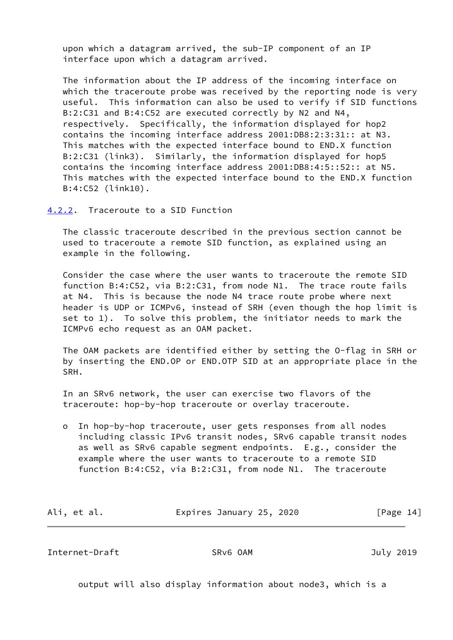upon which a datagram arrived, the sub-IP component of an IP interface upon which a datagram arrived.

 The information about the IP address of the incoming interface on which the traceroute probe was received by the reporting node is very useful. This information can also be used to verify if SID functions B:2:C31 and B:4:C52 are executed correctly by N2 and N4, respectively. Specifically, the information displayed for hop2 contains the incoming interface address 2001:DB8:2:3:31:: at N3. This matches with the expected interface bound to END.X function B:2:C31 (link3). Similarly, the information displayed for hop5 contains the incoming interface address 2001:DB8:4:5::52:: at N5. This matches with the expected interface bound to the END.X function B:4:C52 (link10).

# <span id="page-15-0"></span>[4.2.2](#page-15-0). Traceroute to a SID Function

 The classic traceroute described in the previous section cannot be used to traceroute a remote SID function, as explained using an example in the following.

 Consider the case where the user wants to traceroute the remote SID function B:4:C52, via B:2:C31, from node N1. The trace route fails at N4. This is because the node N4 trace route probe where next header is UDP or ICMPv6, instead of SRH (even though the hop limit is set to 1). To solve this problem, the initiator needs to mark the ICMPv6 echo request as an OAM packet.

 The OAM packets are identified either by setting the O-flag in SRH or by inserting the END.OP or END.OTP SID at an appropriate place in the SRH.

 In an SRv6 network, the user can exercise two flavors of the traceroute: hop-by-hop traceroute or overlay traceroute.

 o In hop-by-hop traceroute, user gets responses from all nodes including classic IPv6 transit nodes, SRv6 capable transit nodes as well as SRv6 capable segment endpoints. E.g., consider the example where the user wants to traceroute to a remote SID function B:4:C52, via B:2:C31, from node N1. The traceroute

| Ali, et al. | Expires January 25, 2020 | [Page 14] |
|-------------|--------------------------|-----------|
|             |                          |           |

Internet-Draft SRv6 OAM July 2019

output will also display information about node3, which is a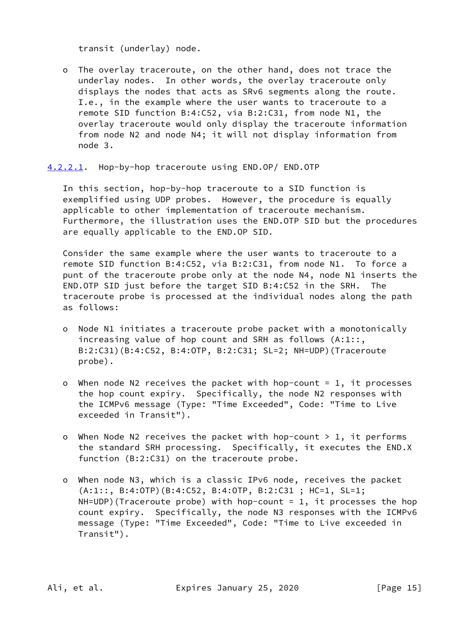transit (underlay) node.

 o The overlay traceroute, on the other hand, does not trace the underlay nodes. In other words, the overlay traceroute only displays the nodes that acts as SRv6 segments along the route. I.e., in the example where the user wants to traceroute to a remote SID function B:4:C52, via B:2:C31, from node N1, the overlay traceroute would only display the traceroute information from node N2 and node N4; it will not display information from node 3.

<span id="page-16-0"></span>[4.2.2.1](#page-16-0). Hop-by-hop traceroute using END.OP/ END.OTP

 In this section, hop-by-hop traceroute to a SID function is exemplified using UDP probes. However, the procedure is equally applicable to other implementation of traceroute mechanism. Furthermore, the illustration uses the END.OTP SID but the procedures are equally applicable to the END.OP SID.

 Consider the same example where the user wants to traceroute to a remote SID function B:4:C52, via B:2:C31, from node N1. To force a punt of the traceroute probe only at the node N4, node N1 inserts the END.OTP SID just before the target SID B:4:C52 in the SRH. The traceroute probe is processed at the individual nodes along the path as follows:

- o Node N1 initiates a traceroute probe packet with a monotonically increasing value of hop count and SRH as follows (A:1::, B:2:C31)(B:4:C52, B:4:OTP, B:2:C31; SL=2; NH=UDP)(Traceroute probe).
- o When node N2 receives the packet with hop-count = 1, it processes the hop count expiry. Specifically, the node N2 responses with the ICMPv6 message (Type: "Time Exceeded", Code: "Time to Live exceeded in Transit").
- o When Node N2 receives the packet with hop-count  $> 1$ , it performs the standard SRH processing. Specifically, it executes the END.X function (B:2:C31) on the traceroute probe.
- o When node N3, which is a classic IPv6 node, receives the packet (A:1::, B:4:OTP)(B:4:C52, B:4:OTP, B:2:C31 ; HC=1, SL=1;  $NH=UDP$ )(Traceroute probe) with hop-count = 1, it processes the hop count expiry. Specifically, the node N3 responses with the ICMPv6 message (Type: "Time Exceeded", Code: "Time to Live exceeded in Transit").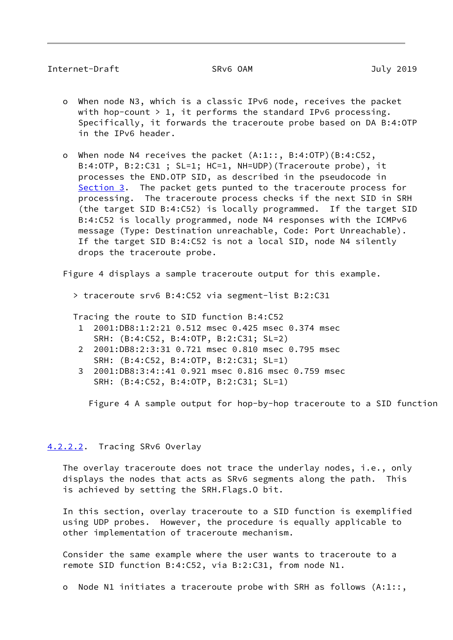# Internet-Draft SRv6 OAM July 2019

- o When node N3, which is a classic IPv6 node, receives the packet with hop-count  $> 1$ , it performs the standard IPv6 processing. Specifically, it forwards the traceroute probe based on DA B:4:OTP in the IPv6 header.
- o When node N4 receives the packet (A:1::, B:4:OTP)(B:4:C52, B:4:OTP, B:2:C31 ; SL=1; HC=1, NH=UDP)(Traceroute probe), it processes the END.OTP SID, as described in the pseudocode in [Section 3.](#page-4-0) The packet gets punted to the traceroute process for processing. The traceroute process checks if the next SID in SRH (the target SID B:4:C52) is locally programmed. If the target SID B:4:C52 is locally programmed, node N4 responses with the ICMPv6 message (Type: Destination unreachable, Code: Port Unreachable). If the target SID B:4:C52 is not a local SID, node N4 silently drops the traceroute probe.

Figure 4 displays a sample traceroute output for this example.

> traceroute srv6 B:4:C52 via segment-list B:2:C31

Tracing the route to SID function B:4:C52

- 1 2001:DB8:1:2:21 0.512 msec 0.425 msec 0.374 msec SRH: (B:4:C52, B:4:OTP, B:2:C31; SL=2)
- 2 2001:DB8:2:3:31 0.721 msec 0.810 msec 0.795 msec SRH: (B:4:C52, B:4:OTP, B:2:C31; SL=1)
- 3 2001:DB8:3:4::41 0.921 msec 0.816 msec 0.759 msec SRH: (B:4:C52, B:4:OTP, B:2:C31; SL=1)

Figure 4 A sample output for hop-by-hop traceroute to a SID function

# <span id="page-17-0"></span>[4.2.2.2](#page-17-0). Tracing SRv6 Overlay

 The overlay traceroute does not trace the underlay nodes, i.e., only displays the nodes that acts as SRv6 segments along the path. This is achieved by setting the SRH.Flags.O bit.

 In this section, overlay traceroute to a SID function is exemplified using UDP probes. However, the procedure is equally applicable to other implementation of traceroute mechanism.

 Consider the same example where the user wants to traceroute to a remote SID function B:4:C52, via B:2:C31, from node N1.

o Node N1 initiates a traceroute probe with SRH as follows (A:1::,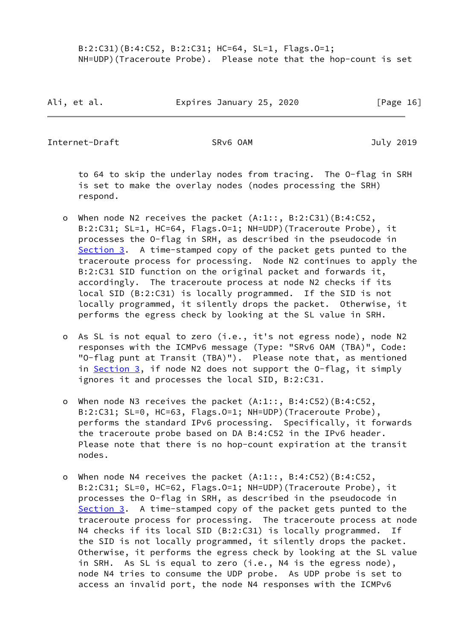B:2:C31)(B:4:C52, B:2:C31; HC=64, SL=1, Flags.O=1; NH=UDP)(Traceroute Probe). Please note that the hop-count is set

Ali, et al. **Expires January 25, 2020** [Page 16]

Internet-Draft SRv6 OAM July 2019

 to 64 to skip the underlay nodes from tracing. The O-flag in SRH is set to make the overlay nodes (nodes processing the SRH) respond.

- o When node N2 receives the packet (A:1::, B:2:C31)(B:4:C52, B:2:C31; SL=1, HC=64, Flags.O=1; NH=UDP)(Traceroute Probe), it processes the O-flag in SRH, as described in the pseudocode in [Section 3.](#page-4-0) A time-stamped copy of the packet gets punted to the traceroute process for processing. Node N2 continues to apply the B:2:C31 SID function on the original packet and forwards it, accordingly. The traceroute process at node N2 checks if its local SID (B:2:C31) is locally programmed. If the SID is not locally programmed, it silently drops the packet. Otherwise, it performs the egress check by looking at the SL value in SRH.
- o As SL is not equal to zero (i.e., it's not egress node), node N2 responses with the ICMPv6 message (Type: "SRv6 OAM (TBA)", Code: "O-flag punt at Transit (TBA)"). Please note that, as mentioned in [Section 3,](#page-4-0) if node N2 does not support the O-flag, it simply ignores it and processes the local SID, B:2:C31.
- o When node N3 receives the packet (A:1::, B:4:C52)(B:4:C52, B:2:C31; SL=0, HC=63, Flags.O=1; NH=UDP)(Traceroute Probe), performs the standard IPv6 processing. Specifically, it forwards the traceroute probe based on DA B:4:C52 in the IPv6 header. Please note that there is no hop-count expiration at the transit nodes.
- o When node N4 receives the packet (A:1::, B:4:C52)(B:4:C52, B:2:C31; SL=0, HC=62, Flags.O=1; NH=UDP)(Traceroute Probe), it processes the O-flag in SRH, as described in the pseudocode in [Section 3.](#page-4-0) A time-stamped copy of the packet gets punted to the traceroute process for processing. The traceroute process at node N4 checks if its local SID (B:2:C31) is locally programmed. If the SID is not locally programmed, it silently drops the packet. Otherwise, it performs the egress check by looking at the SL value in SRH. As SL is equal to zero (i.e., N4 is the egress node), node N4 tries to consume the UDP probe. As UDP probe is set to access an invalid port, the node N4 responses with the ICMPv6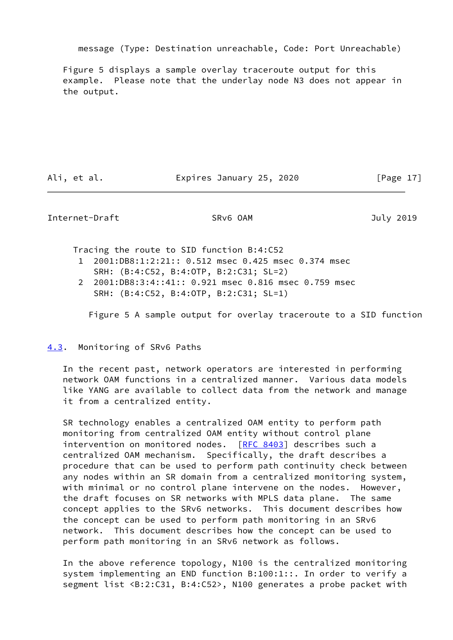message (Type: Destination unreachable, Code: Port Unreachable)

 Figure 5 displays a sample overlay traceroute output for this example. Please note that the underlay node N3 does not appear in the output.

Ali, et al. Expires January 25, 2020 [Page 17]

<span id="page-19-1"></span>Internet-Draft SRv6 OAM July 2019

Tracing the route to SID function B:4:C52

- 1 2001:DB8:1:2:21:: 0.512 msec 0.425 msec 0.374 msec
- SRH: (B:4:C52, B:4:OTP, B:2:C31; SL=2)
- 2 2001:DB8:3:4::41:: 0.921 msec 0.816 msec 0.759 msec SRH: (B:4:C52, B:4:OTP, B:2:C31; SL=1)

Figure 5 A sample output for overlay traceroute to a SID function

<span id="page-19-0"></span>[4.3](#page-19-0). Monitoring of SRv6 Paths

 In the recent past, network operators are interested in performing network OAM functions in a centralized manner. Various data models like YANG are available to collect data from the network and manage it from a centralized entity.

 SR technology enables a centralized OAM entity to perform path monitoring from centralized OAM entity without control plane intervention on monitored nodes. [[RFC 8403\]](https://datatracker.ietf.org/doc/pdf/rfc8403) describes such a centralized OAM mechanism. Specifically, the draft describes a procedure that can be used to perform path continuity check between any nodes within an SR domain from a centralized monitoring system, with minimal or no control plane intervene on the nodes. However, the draft focuses on SR networks with MPLS data plane. The same concept applies to the SRv6 networks. This document describes how the concept can be used to perform path monitoring in an SRv6 network. This document describes how the concept can be used to perform path monitoring in an SRv6 network as follows.

 In the above reference topology, N100 is the centralized monitoring system implementing an END function B:100:1::. In order to verify a segment list <B:2:C31, B:4:C52>, N100 generates a probe packet with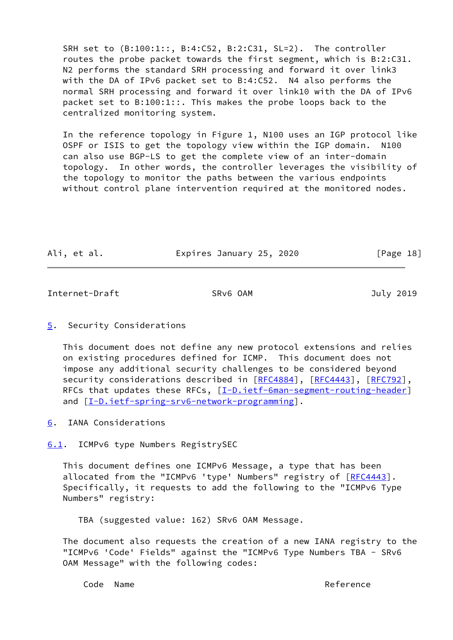SRH set to (B:100:1::, B:4:C52, B:2:C31, SL=2). The controller routes the probe packet towards the first segment, which is B:2:C31. N2 performs the standard SRH processing and forward it over link3 with the DA of IPv6 packet set to B:4:C52. N4 also performs the normal SRH processing and forward it over link10 with the DA of IPv6 packet set to B:100:1::. This makes the probe loops back to the centralized monitoring system.

 In the reference topology in Figure 1, N100 uses an IGP protocol like OSPF or ISIS to get the topology view within the IGP domain. N100 can also use BGP-LS to get the complete view of an inter-domain topology. In other words, the controller leverages the visibility of the topology to monitor the paths between the various endpoints without control plane intervention required at the monitored nodes.

| Ali, et al. | Expires January 25, 2020 | [Page 18] |
|-------------|--------------------------|-----------|
|             |                          |           |

<span id="page-20-1"></span>Internet-Draft SRv6 OAM SRV6 OAM July 2019

<span id="page-20-0"></span>[5](#page-20-0). Security Considerations

 This document does not define any new protocol extensions and relies on existing procedures defined for ICMP. This document does not impose any additional security challenges to be considered beyond security considerations described in [\[RFC4884](https://datatracker.ietf.org/doc/pdf/rfc4884)], [\[RFC4443](https://datatracker.ietf.org/doc/pdf/rfc4443)], [[RFC792](https://datatracker.ietf.org/doc/pdf/rfc792)], RFCs that updates these RFCs, [[I-D.ietf-6man-segment-routing-header\]](#page-5-3) and [\[I-D.ietf-spring-srv6-network-programming](#page-23-4)].

<span id="page-20-2"></span>[6](#page-20-2). IANA Considerations

<span id="page-20-3"></span>[6.1](#page-20-3). ICMPv6 type Numbers RegistrySEC

 This document defines one ICMPv6 Message, a type that has been allocated from the "ICMPv6 'type' Numbers" registry of [\[RFC4443](https://datatracker.ietf.org/doc/pdf/rfc4443)]. Specifically, it requests to add the following to the "ICMPv6 Type Numbers" registry:

TBA (suggested value: 162) SRv6 OAM Message.

 The document also requests the creation of a new IANA registry to the "ICMPv6 'Code' Fields" against the "ICMPv6 Type Numbers TBA - SRv6 OAM Message" with the following codes:

Code Name Reference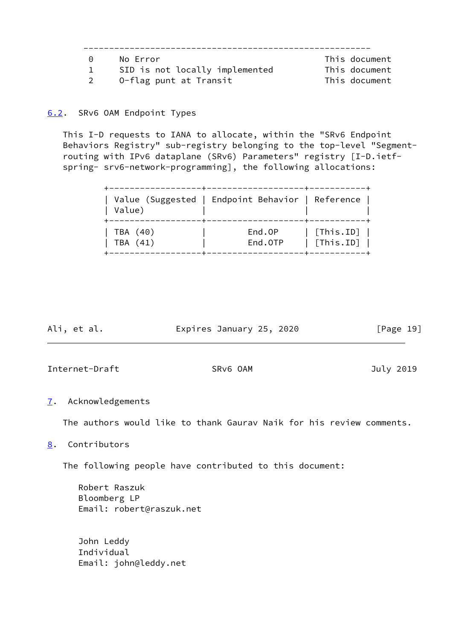| $\Theta$ | No Error                       | This document |
|----------|--------------------------------|---------------|
|          | SID is not locally implemented | This document |
|          | 0-flag punt at Transit         | This document |

# <span id="page-21-0"></span>[6.2](#page-21-0). SRv6 OAM Endpoint Types

 This I-D requests to IANA to allocate, within the "SRv6 Endpoint Behaviors Registry" sub-registry belonging to the top-level "Segment routing with IPv6 dataplane (SRv6) Parameters" registry [I-D.ietf spring- srv6-network-programming], the following allocations:

| Value)   | Value (Suggested   Endpoint Behavior   Reference |                           |
|----------|--------------------------------------------------|---------------------------|
| TBA (40) | End.OP                                           | $\vert$ [This.ID] $\vert$ |
| TBA (41) | End.OTP                                          | $\vert$ [This.ID] $\vert$ |

<span id="page-21-2"></span>

| Ali, et al.    | Expires January 25, 2020 | [Page 19] |
|----------------|--------------------------|-----------|
|                |                          |           |
| Internet-Draft | SRv6 OAM                 | July 2019 |

# <span id="page-21-1"></span>[7](#page-21-1). Acknowledgements

The authors would like to thank Gaurav Naik for his review comments.

# <span id="page-21-3"></span>[8](#page-21-3). Contributors

The following people have contributed to this document:

 Robert Raszuk Bloomberg LP Email: robert@raszuk.net

 John Leddy Individual Email: john@leddy.net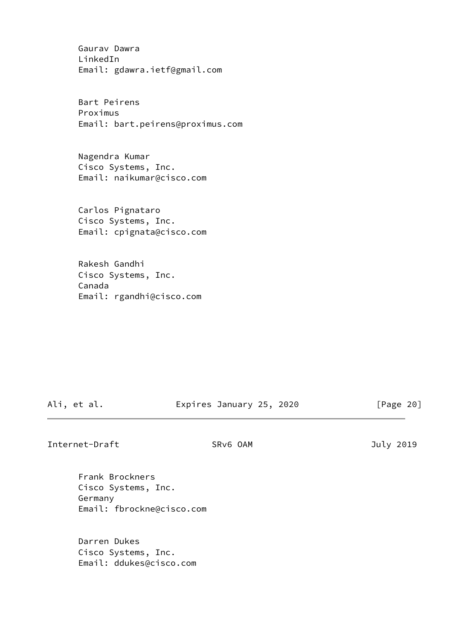Gaurav Dawra LinkedIn Email: gdawra.ietf@gmail.com

 Bart Peirens Proximus Email: bart.peirens@proximus.com

 Nagendra Kumar Cisco Systems, Inc. Email: naikumar@cisco.com

 Carlos Pignataro Cisco Systems, Inc. Email: cpignata@cisco.com

 Rakesh Gandhi Cisco Systems, Inc. Canada Email: rgandhi@cisco.com

Ali, et al. Expires January 25, 2020 [Page 20]

<span id="page-22-0"></span>Internet-Draft SRv6 OAM July 2019

 Frank Brockners Cisco Systems, Inc. Germany Email: fbrockne@cisco.com

 Darren Dukes Cisco Systems, Inc. Email: ddukes@cisco.com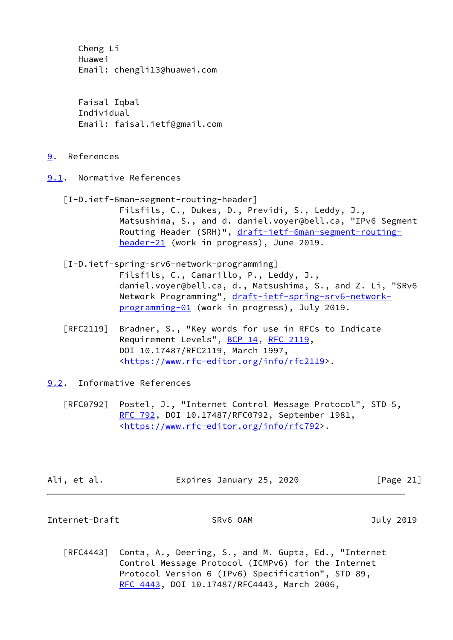Cheng Li Huawei Email: chengli13@huawei.com

 Faisal Iqbal Individual Email: faisal.ietf@gmail.com

- <span id="page-23-0"></span>[9](#page-23-0). References
- <span id="page-23-4"></span><span id="page-23-1"></span>[9.1](#page-23-1). Normative References
	- [I-D.ietf-6man-segment-routing-header] Filsfils, C., Dukes, D., Previdi, S., Leddy, J., Matsushima, S., and d. daniel.voyer@bell.ca, "IPv6 Segment Routing Header (SRH)", [draft-ietf-6man-segment-routing](https://datatracker.ietf.org/doc/pdf/draft-ietf-6man-segment-routing-header-21) [header-21](https://datatracker.ietf.org/doc/pdf/draft-ietf-6man-segment-routing-header-21) (work in progress), June 2019.
	- [I-D.ietf-spring-srv6-network-programming] Filsfils, C., Camarillo, P., Leddy, J., daniel.voyer@bell.ca, d., Matsushima, S., and Z. Li, "SRv6 Network Programming", [draft-ietf-spring-srv6-network](https://datatracker.ietf.org/doc/pdf/draft-ietf-spring-srv6-network-programming-01) [programming-01](https://datatracker.ietf.org/doc/pdf/draft-ietf-spring-srv6-network-programming-01) (work in progress), July 2019.
	- [RFC2119] Bradner, S., "Key words for use in RFCs to Indicate Requirement Levels", [BCP 14](https://datatracker.ietf.org/doc/pdf/bcp14), [RFC 2119](https://datatracker.ietf.org/doc/pdf/rfc2119), DOI 10.17487/RFC2119, March 1997, <[https://www.rfc-editor.org/info/rfc2119>](https://www.rfc-editor.org/info/rfc2119).
- <span id="page-23-2"></span>[9.2](#page-23-2). Informative References
	- [RFC0792] Postel, J., "Internet Control Message Protocol", STD 5, [RFC 792](https://datatracker.ietf.org/doc/pdf/rfc792), DOI 10.17487/RFC0792, September 1981, <<https://www.rfc-editor.org/info/rfc792>>.

| Ali, et al. | Expires January 25, 2020 | [Page 21] |
|-------------|--------------------------|-----------|
|-------------|--------------------------|-----------|

<span id="page-23-3"></span>Internet-Draft SRv6 OAM July 2019

 [RFC4443] Conta, A., Deering, S., and M. Gupta, Ed., "Internet Control Message Protocol (ICMPv6) for the Internet Protocol Version 6 (IPv6) Specification", STD 89, [RFC 4443,](https://datatracker.ietf.org/doc/pdf/rfc4443) DOI 10.17487/RFC4443, March 2006,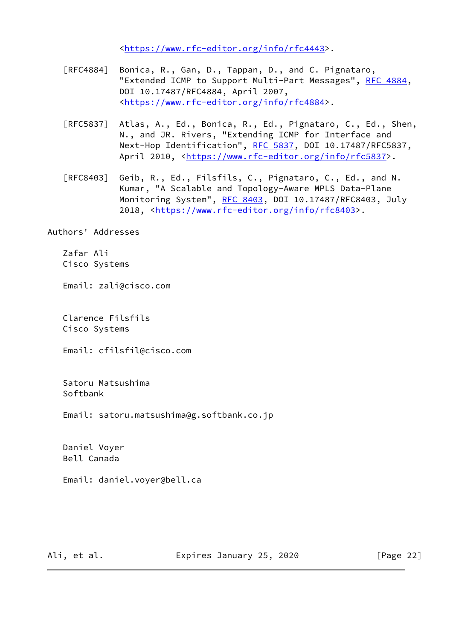<[https://www.rfc-editor.org/info/rfc4443>](https://www.rfc-editor.org/info/rfc4443).

- [RFC4884] Bonica, R., Gan, D., Tappan, D., and C. Pignataro, "Extended ICMP to Support Multi-Part Messages", [RFC 4884,](https://datatracker.ietf.org/doc/pdf/rfc4884) DOI 10.17487/RFC4884, April 2007, <[https://www.rfc-editor.org/info/rfc4884>](https://www.rfc-editor.org/info/rfc4884).
- [RFC5837] Atlas, A., Ed., Bonica, R., Ed., Pignataro, C., Ed., Shen, N., and JR. Rivers, "Extending ICMP for Interface and Next-Hop Identification", [RFC 5837](https://datatracker.ietf.org/doc/pdf/rfc5837), DOI 10.17487/RFC5837, April 2010, [<https://www.rfc-editor.org/info/rfc5837](https://www.rfc-editor.org/info/rfc5837)>.
- [RFC8403] Geib, R., Ed., Filsfils, C., Pignataro, C., Ed., and N. Kumar, "A Scalable and Topology-Aware MPLS Data-Plane Monitoring System", [RFC 8403,](https://datatracker.ietf.org/doc/pdf/rfc8403) DOI 10.17487/RFC8403, July 2018, [<https://www.rfc-editor.org/info/rfc8403](https://www.rfc-editor.org/info/rfc8403)>.

Authors' Addresses

 Zafar Ali Cisco Systems

Email: zali@cisco.com

 Clarence Filsfils Cisco Systems

Email: cfilsfil@cisco.com

 Satoru Matsushima Softbank

Email: satoru.matsushima@g.softbank.co.jp

 Daniel Voyer Bell Canada

Email: daniel.voyer@bell.ca

Ali, et al. Expires January 25, 2020 [Page 22]